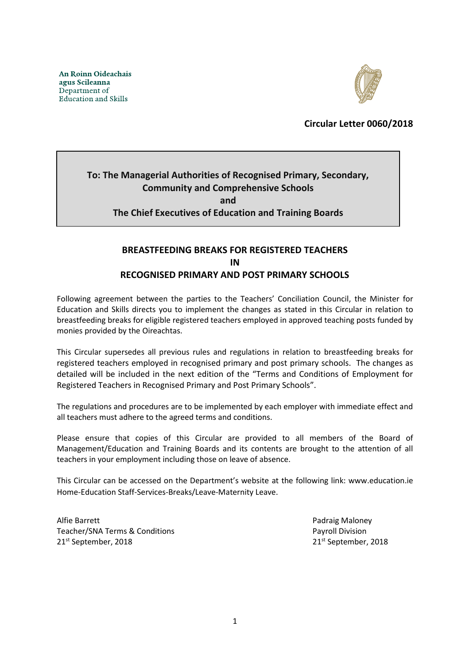

**Circular Letter 0060/2018**

# **To: The Managerial Authorities of Recognised Primary, Secondary, Community and Comprehensive Schools and The Chief Executives of Education and Training Boards**

## **BREASTFEEDING BREAKS FOR REGISTERED TEACHERS IN RECOGNISED PRIMARY AND POST PRIMARY SCHOOLS**

Following agreement between the parties to the Teachers' Conciliation Council, the Minister for Education and Skills directs you to implement the changes as stated in this Circular in relation to breastfeeding breaks for eligible registered teachers employed in approved teaching posts funded by monies provided by the Oireachtas.

This Circular supersedes all previous rules and regulations in relation to breastfeeding breaks for registered teachers employed in recognised primary and post primary schools. The changes as detailed will be included in the next edition of the "Terms and Conditions of Employment for Registered Teachers in Recognised Primary and Post Primary Schools".

The regulations and procedures are to be implemented by each employer with immediate effect and all teachers must adhere to the agreed terms and conditions.

Please ensure that copies of this Circular are provided to all members of the Board of Management/Education and Training Boards and its contents are brought to the attention of all teachers in your employment including those on leave of absence.

This Circular can be accessed on the Department's website at the following link: www.education.ie Home-Education Staff-Services-Breaks/Leave-Maternity Leave.

Alfie Barrett Padraig Maloney Teacher/SNA Terms & Conditions **Payroll Division** 21st September, 2018 21st September, 2018